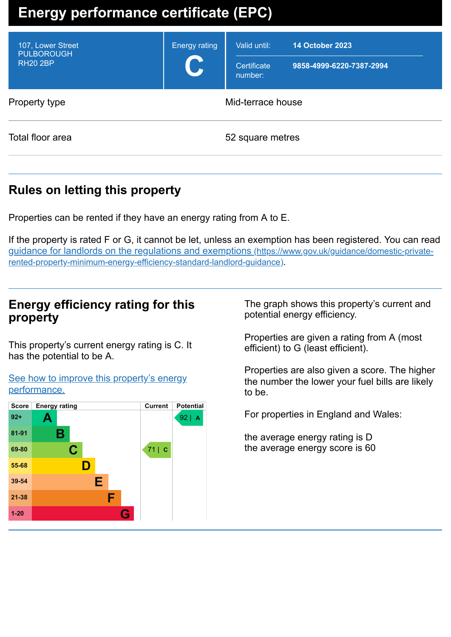# **Energy performance certificate (EPC)**

| 107, Lower Street<br><b>PULBOROUGH</b><br><b>RH20 2BP</b> | <b>Energy rating</b><br>C | Valid until:<br>Certificate<br>number: | <b>14 October 2023</b><br>9858-4999-6220-7387-2994 |
|-----------------------------------------------------------|---------------------------|----------------------------------------|----------------------------------------------------|
| Property type                                             | Mid-terrace house         |                                        |                                                    |
| Total floor area                                          | 52 square metres          |                                        |                                                    |
|                                                           |                           |                                        |                                                    |

# **Rules on letting this property**

Properties can be rented if they have an energy rating from A to E.

If the property is rated F or G, it cannot be let, unless an exemption has been registered. You can read guidance for landlords on the regulations and exemptions (https://www.gov.uk/guidance/domestic-private[rented-property-minimum-energy-efficiency-standard-landlord-guidance\)](https://www.gov.uk/guidance/domestic-private-rented-property-minimum-energy-efficiency-standard-landlord-guidance).

# **Energy efficiency rating for this property**

This property's current energy rating is C. It has the potential to be A.

See how to improve this property's energy [performance.](#page-2-0)



The graph shows this property's current and potential energy efficiency.

Properties are given a rating from A (most efficient) to G (least efficient).

Properties are also given a score. The higher the number the lower your fuel bills are likely to be.

For properties in England and Wales:

the average energy rating is D the average energy score is 60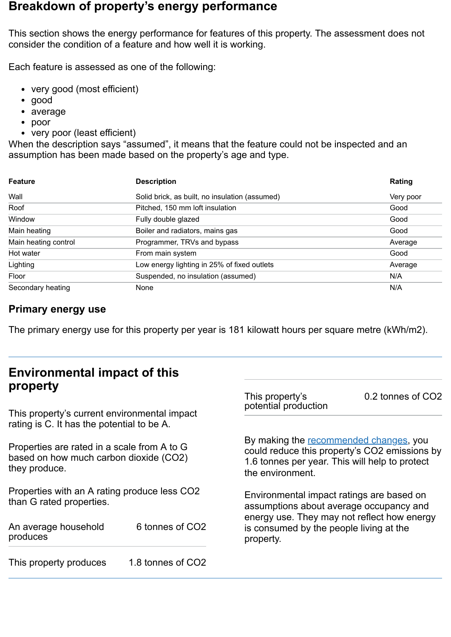# **Breakdown of property's energy performance**

This section shows the energy performance for features of this property. The assessment does not consider the condition of a feature and how well it is working.

Each feature is assessed as one of the following:

- very good (most efficient)
- good
- average
- poor
- very poor (least efficient)

When the description says "assumed", it means that the feature could not be inspected and an assumption has been made based on the property's age and type.

| <b>Feature</b>       | <b>Description</b>                             | Rating    |
|----------------------|------------------------------------------------|-----------|
| Wall                 | Solid brick, as built, no insulation (assumed) | Very poor |
| Roof                 | Pitched, 150 mm loft insulation                | Good      |
| Window               | Fully double glazed                            | Good      |
| Main heating         | Boiler and radiators, mains gas                | Good      |
| Main heating control | Programmer, TRVs and bypass                    | Average   |
| Hot water            | From main system                               | Good      |
| Lighting             | Low energy lighting in 25% of fixed outlets    | Average   |
| Floor                | Suspended, no insulation (assumed)             | N/A       |
| Secondary heating    | None                                           | N/A       |

### **Primary energy use**

The primary energy use for this property per year is 181 kilowatt hours per square metre (kWh/m2).

# **Environmental impact of this property**

This property's current environmental impact rating is C. It has the potential to be A.

Properties are rated in a scale from A to G based on how much carbon dioxide (CO2) they produce.

Properties with an A rating produce less CO2 than G rated properties.

An average household produces 6 tonnes of CO2

This property produces 1.8 tonnes of CO2

This property's potential production

0.2 tonnes of CO2

By making the [recommended](#page-2-0) changes, you could reduce this property's CO2 emissions by 1.6 tonnes per year. This will help to protect the environment.

Environmental impact ratings are based on assumptions about average occupancy and energy use. They may not reflect how energy is consumed by the people living at the property.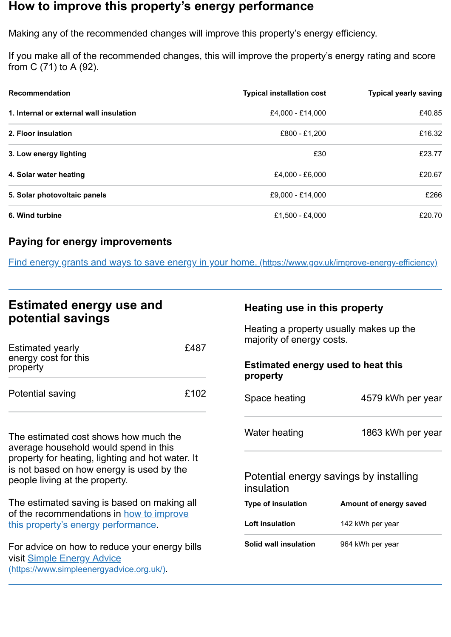# <span id="page-2-0"></span>**How to improve this property's energy performance**

Making any of the recommended changes will improve this property's energy efficiency.

If you make all of the recommended changes, this will improve the property's energy rating and score from C (71) to A (92).

| <b>Recommendation</b>                   | <b>Typical installation cost</b> | <b>Typical yearly saving</b> |
|-----------------------------------------|----------------------------------|------------------------------|
| 1. Internal or external wall insulation | £4,000 - £14,000                 | £40.85                       |
| 2. Floor insulation                     | £800 - £1,200                    | £16.32                       |
| 3. Low energy lighting                  | £30                              | £23.77                       |
| 4. Solar water heating                  | £4,000 - £6,000                  | £20.67                       |
| 5. Solar photovoltaic panels            | £9,000 - £14,000                 | £266                         |
| 6. Wind turbine                         | £1,500 - £4,000                  | £20.70                       |

## **Paying for energy improvements**

Find energy grants and ways to save energy in your home. [\(https://www.gov.uk/improve-energy-efficiency\)](https://www.gov.uk/improve-energy-efficiency)

# **Estimated energy use and potential savings**

| <b>Estimated yearly</b><br>energy cost for this<br>property | £487 |
|-------------------------------------------------------------|------|
| Potential saving                                            | £102 |

The estimated cost shows how much the average household would spend in this property for heating, lighting and hot water. It is not based on how energy is used by the people living at the property.

The estimated saving is based on making all of the [recommendations](#page-2-0) in how to improve this property's energy performance.

For advice on how to reduce your energy bills visit Simple Energy Advice [\(https://www.simpleenergyadvice.org.uk/\)](https://www.simpleenergyadvice.org.uk/).

#### **Heating use in this property**

Heating a property usually makes up the majority of energy costs.

#### **Estimated energy used to heat this property**

| Space heating                          | 4579 kWh per year |
|----------------------------------------|-------------------|
| Water heating                          | 1863 kWh per year |
| Potential energy savings by installing |                   |

#### $m$ al energy savings by installing insulation

| <b>Type of insulation</b>    | Amount of energy saved |
|------------------------------|------------------------|
| <b>Loft insulation</b>       | 142 kWh per year       |
| <b>Solid wall insulation</b> | 964 kWh per year       |